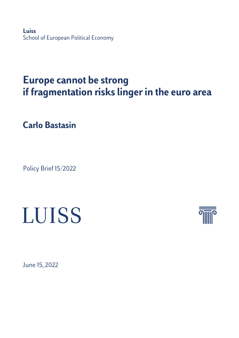**Luiss** School of European Political Economy

## **Europe cannot be strong if fragmentation risks linger in the euro area**

**Carlo Bastasin**

Policy Brief 15/2022

## LUISS



June 15, 2022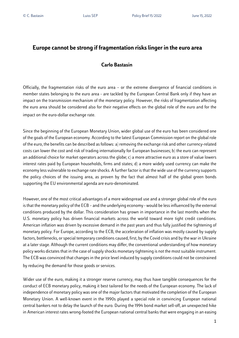## **Europe cannot be strong if fragmentation risks linger in the euro area**

## **Carlo Bastasin**

Officially, the fragmentation risks of the euro area – or the extreme divergence of financial conditions in member states belonging to the euro area - are tackled by the European Central Bank only if they have an impact on the transmission mechanism of the monetary policy. However, the risks of fragmentation affecting the euro area should be considered also for their negative effects on the global role of the euro and for the impact on the euro-dollar exchange rate.

Since the beginning of the European Monetary Union, wider global use of the euro has been considered one of the goals of the European economy. According to the latest European Commission report on the global role of the euro, the benefits can be described as follows: a) removing the exchange risk and other currency-related costs can lower the cost and risk of trading internationally for European businesses; b) the euro can represent an additional choice for market operators across the globe; c) a more attractive euro as a store of value lowers interest rates paid by European households, firms and states; d) a more widely used currency can make the economy less vulnerable to exchange rate shocks. A further factor is that the wide use of the currency supports the policy choices of the issuing area, as proven by the fact that almost half of the global green bonds supporting the EU environmental agenda are euro-denominated.

However, one of the most critical advantages of a more widespread use and a stronger global role of the euro is that the monetary policy of the ECB – and the underlying economy - would be less influenced by the external conditions produced by the dollar. This consideration has grown in importance in the last months when the U.S. monetary policy has driven financial markets across the world toward more tight credit conditions. American inflation was driven by excessive demand in the past years and thus fully justified the tightening of monetary policy. For Europe, according to the ECB, the acceleration of inflation was mostly caused by supply factors, bottlenecks, or special temporary conditions caused, first, by the Covid crisis and by the war in Ukraine at a later stage. Although the current conditions may differ, the conventional understanding of how monetary policy works dictates that in the case of supply shocks monetary tightening is not the most suitable instrument. The ECB was convinced that changes in the price level induced by supply conditions could not be constrained by reducing the demand for those goods or services.

Wider use of the euro, making it a stronger reserve currency, may thus have tangible consequences for the conduct of ECB monetary policy, making it best tailored for the needs of the European economy. The lack of independence of monetary policy was one of the major factors that motivated the completion of the European Monetary Union. A well-known event in the 1990s played a special role in convincing European national central bankers not to delay the launch of the euro. During the 1994 bond market sell-off, an unexpected hike in American interest rates wrong-footed the European national central banks that were engaging in an easing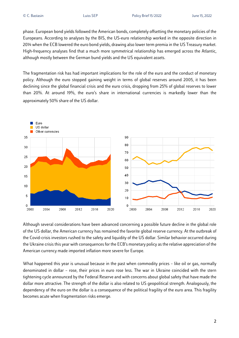phase. European bond yields followed the American bonds,completely offsetting the monetary policies of the Europeans. According to analyses by the BIS, the US-euro relationship worked in the opposite direction in 2014 when the ECB lowered the euro bond yields, drawing also lower term premia in the US Treasury market. High-frequency analyses find that a much more symmetrical relationship has emerged across the Atlantic, although mostly between the German bund yields and the US equivalent assets.

The fragmentation risk has had important implications for the role of the euro and the conduct of monetary policy. Although the euro stopped gaining weight in terms of global reserves around 2005, it has been declining since the global financial crisis and the euro crisis, dropping from 25% of global reserves to lower than 20%. At around 19%, the euro's share in international currencies is markedly lower than the approximately 50% share of the US dollar.



Although several considerations have been advanced concerning a possible future decline in the global role of the US dollar, the American currency has remained the favorite global reserve currency. At the outbreak of the Covid-crisis investors rushed to the safety and liquidity of the US dollar. Similar behavior occurred during the Ukraine crisis this year with consequences for the ECB's monetary policy as the relative appreciation of the American currency made imported inflation more severe for Europe.

What happened this year is unusual because in the past when commodity prices – like oil or gas, normally denominated in dollar – rose, their prices in euro rose less. The war in Ukraine coincided with the stern tightening cycle announced by the Federal Reserve and with concerns about global safety that have made the dollar more attractive. The strength of the dollar is also related to US geopolitical strength. Analogously, the dependency of the euro on the dollar is a consequence of the political fragility of the euro area. This fragility becomes acute when fragmentation risks emerge.